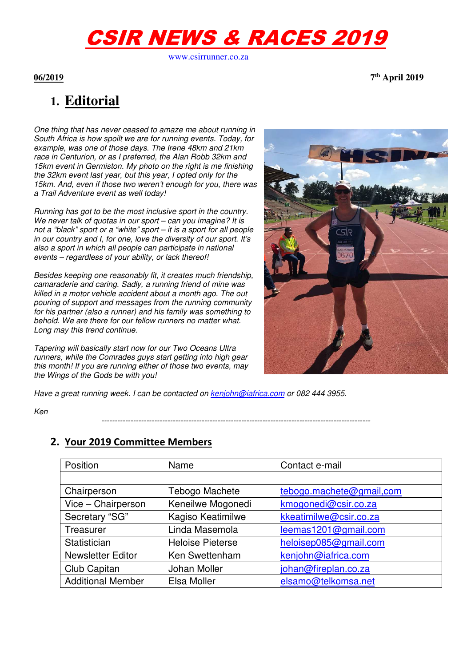# CSIR NEWS & RACES 2019

www.csirrunner.co.za

**06/2019 7th April 2019** 

## **1. Editorial**

One thing that has never ceased to amaze me about running in South Africa is how spoilt we are for running events. Today, for example, was one of those days. The Irene 48km and 21km race in Centurion, or as I preferred, the Alan Robb 32km and 15km event in Germiston. My photo on the right is me finishing the 32km event last year, but this year, I opted only for the 15km. And, even if those two weren't enough for you, there was a Trail Adventure event as well today!

Running has got to be the most inclusive sport in the country. We never talk of quotas in our sport – can you imagine? It is not a "black" sport or a "white" sport – it is a sport for all people in our country and I, for one, love the diversity of our sport. It's also a sport in which all people can participate in national events – regardless of your ability, or lack thereof!

Besides keeping one reasonably fit, it creates much friendship, camaraderie and caring. Sadly, a running friend of mine was killed in a motor vehicle accident about a month ago. The out pouring of support and messages from the running community for his partner (also a runner) and his family was something to behold. We are there for our fellow runners no matter what. Long may this trend continue.

Tapering will basically start now for our Two Oceans Ultra runners, while the Comrades guys start getting into high gear this month! If you are running either of those two events, may the Wings of the Gods be with you!



Have a great running week. I can be contacted on kenjohn@iafrica.com or 082 444 3955.

Ken

**2. Your 2019 Committee Members** 

| Position                 | Name                    | Contact e-mail           |  |  |
|--------------------------|-------------------------|--------------------------|--|--|
|                          |                         |                          |  |  |
| Chairperson              | Tebogo Machete          | tebogo.machete@gmail.com |  |  |
| Vice - Chairperson       | Keneilwe Mogonedi       | kmogonedi@csir.co.za     |  |  |
| Secretary "SG"           | Kagiso Keatimilwe       | kkeatimilwe@csir.co.za   |  |  |
| Treasurer                | Linda Masemola          | leemas1201@gmail.com     |  |  |
| Statistician             | <b>Heloise Pieterse</b> | heloisep085@gmail.com    |  |  |
| <b>Newsletter Editor</b> | Ken Swettenham          | kenjohn@iafrica.com      |  |  |
| Club Capitan             | Johan Moller            | johan@fireplan.co.za     |  |  |
| <b>Additional Member</b> | Elsa Moller             | elsamo@telkomsa.net      |  |  |

------------------------------------------------------------------------------------------------------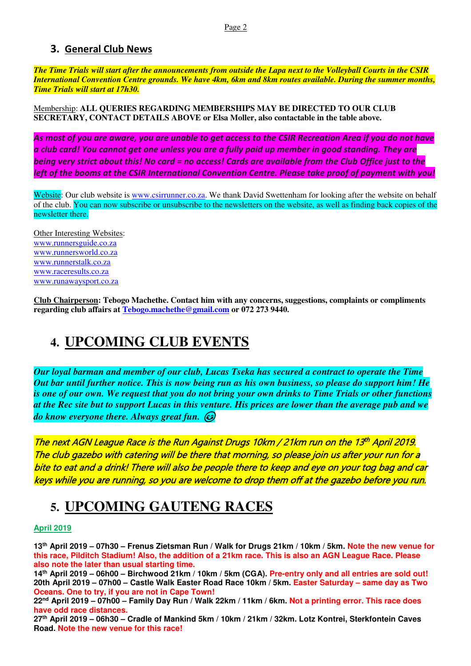#### **3. General Club News**

*The Time Trials will start after the announcements from outside the Lapa next to the Volleyball Courts in the CSIR International Convention Centre grounds. We have 4km, 6km and 8km routes available. During the summer months, Time Trials will start at 17h30.*

Membership: **ALL QUERIES REGARDING MEMBERSHIPS MAY BE DIRECTED TO OUR CLUB SECRETARY, CONTACT DETAILS ABOVE or Elsa Moller, also contactable in the table above.** 

*As most of you are aware, you are unable to get access to the CSIR Recreation Area if you do not have a club card! You cannot get one unless you are a fully paid up member in good standing. They are being very strict about this! No card = no access! Cards are available from the Club Office just to the left of the booms at the CSIR International Convention Centre. Please take proof of payment with you!* 

Website: Our club website is www.csirrunner.co.za. We thank David Swettenham for looking after the website on behalf of the club. You can now subscribe or unsubscribe to the newsletters on the website, as well as finding back copies of the newsletter there.

Other Interesting Websites: www.runnersguide.co.za www.runnersworld.co.za www.runnerstalk.co.za www.raceresults.co.za www.runawaysport.co.za

**Club Chairperson: Tebogo Machethe. Contact him with any concerns, suggestions, complaints or compliments regarding club affairs at Tebogo.machethe@gmail.com or 072 273 9440.** 

### **4. UPCOMING CLUB EVENTS**

*Our loyal barman and member of our club, Lucas Tseka has secured a contract to operate the Time Out bar until further notice. This is now being run as his own business, so please do support him! He is one of our own. We request that you do not bring your own drinks to Time Trials or other functions at the Rec site but to support Lucas in this venture. His prices are lower than the average pub and we do know everyone there. Always great fun.* 

The next AGN League Race is the Run Against Drugs 10km / 21km run on the 13<sup>th</sup> April 2019. The club gazebo with catering will be there that morning, so please join us after your run for a bite to eat and a drink! There will also be people there to keep and eye on your tog bag and car keys while you are running, so you are welcome to drop them off at the gazebo before you run.

### **5. UPCOMING GAUTENG RACES**

#### **April 2019**

**13th April 2019 – 07h30 – Frenus Zietsman Run / Walk for Drugs 21km / 10km / 5km. Note the new venue for this race, Pilditch Stadium! Also, the addition of a 21km race. This is also an AGN League Race. Please also note the later than usual starting time.** 

**14th April 2019 – 06h00 – Birchwood 21km / 10km / 5km (CGA). Pre-entry only and all entries are sold out! 20th April 2019 – 07h00 – Castle Walk Easter Road Race 10km / 5km. Easter Saturday – same day as Two Oceans. One to try, if you are not in Cape Town!** 

**22nd April 2019 – 07h00 – Family Day Run / Walk 22km / 11km / 6km. Not a printing error. This race does have odd race distances.** 

**27th April 2019 – 06h30 – Cradle of Mankind 5km / 10km / 21km / 32km. Lotz Kontrei, Sterkfontein Caves Road. Note the new venue for this race!**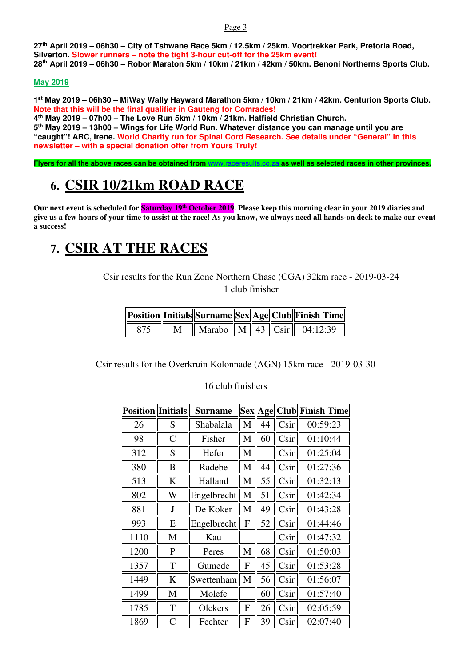Page 3

**27th April 2019 – 06h30 – City of Tshwane Race 5km / 12.5km / 25km. Voortrekker Park, Pretoria Road, Silverton. Slower runners – note the tight 3-hour cut-off for the 25km event! 28th April 2019 – 06h30 – Robor Maraton 5km / 10km / 21km / 42km / 50km. Benoni Northerns Sports Club.** 

#### **May 2019**

**1 st May 2019 – 06h30 – MiWay Wally Hayward Marathon 5km / 10km / 21km / 42km. Centurion Sports Club. Note that this will be the final qualifier in Gauteng for Comrades!** 

**4 th May 2019 – 07h00 – The Love Run 5km / 10km / 21km. Hatfield Christian Church. 5 th May 2019 – 13h00 – Wings for Life World Run. Whatever distance you can manage until you are "caught"! ARC, Irene. World Charity run for Spinal Cord Research. See details under "General" in this newsletter – with a special donation offer from Yours Truly!** 

**Flyers for all the above races can be obtained from** www.raceresults.co.za **as well as selected races in other provinces.** 

## **6. CSIR 10/21km ROAD RACE**

**Our next event is scheduled for Saturday 19th October 2019. Please keep this morning clear in your 2019 diaries and give us a few hours of your time to assist at the race! As you know, we always need all hands-on deck to make our event a success!** 

### **7. CSIR AT THE RACES**

Csir results for the Run Zone Northern Chase (CGA) 32km race - 2019-03-24 1 club finisher

|     |   |  |  | Position  Initials  Surname  Sex  Age  Club  Finish Time                              |
|-----|---|--|--|---------------------------------------------------------------------------------------|
| 875 | M |  |  | $\parallel$ Marabo $\parallel$ M $\parallel$ 43 $\parallel$ Csir $\parallel$ 04:12:39 |

Csir results for the Overkruin Kolonnade (AGN) 15km race - 2019-03-30

16 club finishers

| <b>Position</b> Initials |                | <b>Surname</b> |   |    |                   | Sex  Age  Club  Finish Time |
|--------------------------|----------------|----------------|---|----|-------------------|-----------------------------|
| 26                       | S              | Shabalala      | M | 44 | Csir              | 00:59:23                    |
| 98                       | $\overline{C}$ | Fisher         | M | 60 | Csir              | 01:10:44                    |
| 312                      | S              | Hefer          | M |    | Csir              | 01:25:04                    |
| 380                      | B              | Radebe         | M | 44 | C <sub>Si</sub> r | 01:27:36                    |
| 513                      | K              | Halland        | M | 55 | Csir              | 01:32:13                    |
| 802                      | W              | Engelbrecht    | M | 51 | Csir              | 01:42:34                    |
| 881                      | J              | De Koker       | M | 49 | Csir              | 01:43:28                    |
| 993                      | E              | Engelbrecht    | F | 52 | Csir              | 01:44:46                    |
| 1110                     | M              | Kau            |   |    | Csir              | 01:47:32                    |
| 1200                     | $\mathbf{P}$   | Peres          | M | 68 | Csir              | 01:50:03                    |
| 1357                     | T              | Gumede         | F | 45 | Csir              | 01:53:28                    |
| 1449                     | K              | Swettenham     | M | 56 | Csir              | 01:56:07                    |
| 1499                     | M              | Molefe         |   | 60 | Csir              | 01:57:40                    |
| 1785                     | T              | Olckers        | F | 26 | Csir              | 02:05:59                    |
| 1869                     | $\overline{C}$ | Fechter        | F | 39 | Csir              | 02:07:40                    |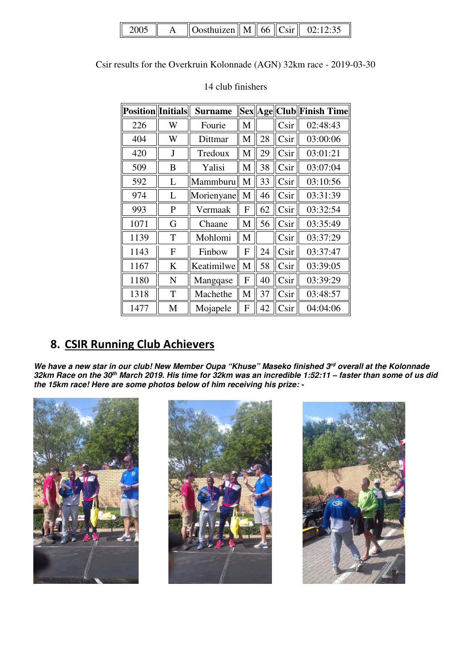| 2005 | $\parallel$ Oosthuizen $\parallel$ M $\parallel$ 66 $\parallel$ Csir $\parallel$ |  | 02.12.35 |
|------|----------------------------------------------------------------------------------|--|----------|
|------|----------------------------------------------------------------------------------|--|----------|

Csir results for the Overkruin Kolonnade (AGN) 32km race - 2019-03-30

| <b>Position</b> Initials |              | <b>Surname</b> |   |    |                 | Sex  Age  Club  Finish Time |
|--------------------------|--------------|----------------|---|----|-----------------|-----------------------------|
| 226                      | W            | Fourie         | M |    | Csir            | 02:48:43                    |
| 404                      | W            | Dittmar        | M | 28 | Csir            | 03:00:06                    |
| 420                      | J            | Tredoux        | M | 29 | Csir            | 03:01:21                    |
| 509                      | B            | Yalisi         | M | 38 | Csir            | 03:07:04                    |
| 592                      | L            | Mammburu       | M | 33 | Csir            | 03:10:56                    |
| 974                      | L            | Morienyane     | M | 46 | Csir            | 03:31:39                    |
| 993                      | $\mathbf{P}$ | Vermaak        | F | 62 | C <sub>Si</sub> | 03:32:54                    |
| 1071                     | G            | Chaane         | M | 56 | Csir            | 03:35:49                    |
| 1139                     | T            | Mohlomi        | M |    | Csir            | 03:37:29                    |
| 1143                     | F            | Finbow         | F | 24 | Csir            | 03:37:47                    |
| 1167                     | K            | Keatimilwe     | M | 58 | Csir            | 03:39:05                    |
| 1180                     | N            | Mangqase       | F | 40 | Csir            | 03:39:29                    |
| 1318                     | T            | Machethe       | M | 37 | Csir            | 03:48:57                    |
| 1477                     | M            | Mojapele       | F | 42 | Csir            | 04:04:06                    |

#### 14 club finishers

### **8. CSIR Running Club Achievers**

*We have a new star in our club! New Member Oupa "Khuse" Maseko finished 3rd overall at the Kolonnade 32km Race on the 30th March 2019. His time for 32km was an incredible 1:52:11 – faster than some of us did the 15km race! Here are some photos below of him receiving his prize: -* 





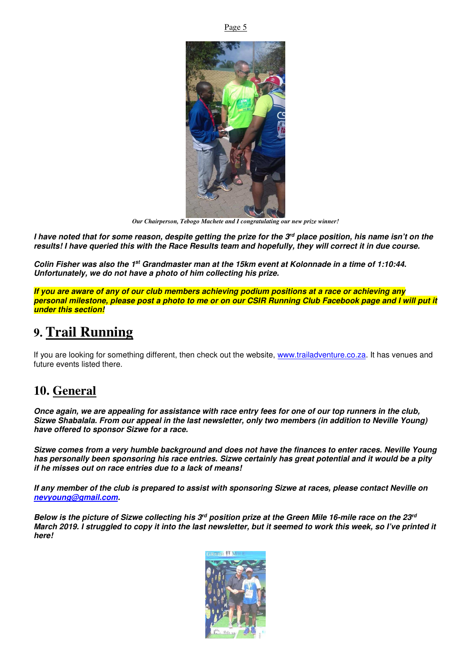

*Our Chairperson, Tebogo Machete and I congratulating our new prize winner!* 

*I have noted that for some reason, despite getting the prize for the 3rd place position, his name isn't on the results! I have queried this with the Race Results team and hopefully, they will correct it in due course.* 

*Colin Fisher was also the 1st Grandmaster man at the 15km event at Kolonnade in a time of 1:10:44. Unfortunately, we do not have a photo of him collecting his prize.*

*If you are aware of any of our club members achieving podium positions at a race or achieving any personal milestone, please post a photo to me or on our CSIR Running Club Facebook page and I will put it under this section!*

### **9. Trail Running**

If you are looking for something different, then check out the website, www.trailadventure.co.za. It has venues and future events listed there.

#### **10. General**

*Once again, we are appealing for assistance with race entry fees for one of our top runners in the club, Sizwe Shabalala. From our appeal in the last newsletter, only two members (in addition to Neville Young) have offered to sponsor Sizwe for a race.* 

*Sizwe comes from a very humble background and does not have the finances to enter races. Neville Young has personally been sponsoring his race entries. Sizwe certainly has great potential and it would be a pity if he misses out on race entries due to a lack of means!* 

*If any member of the club is prepared to assist with sponsoring Sizwe at races, please contact Neville on nevyoung@gmail.com.* 

*Below is the picture of Sizwe collecting his 3rd position prize at the Green Mile 16-mile race on the 23rd March 2019. I struggled to copy it into the last newsletter, but it seemed to work this week, so I've printed it here!* 



Page 5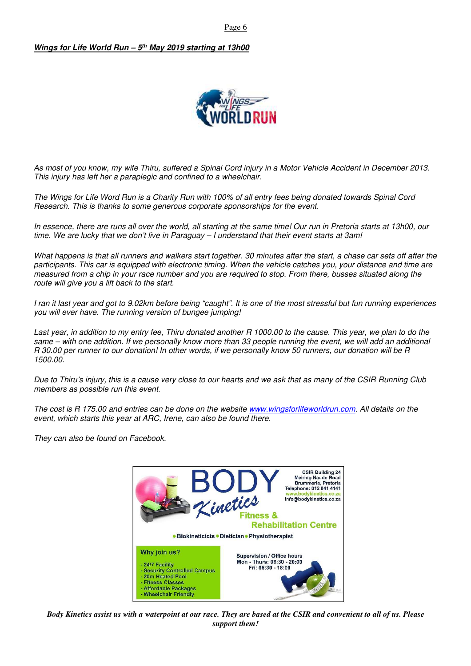Page 6

#### *Wings for Life World Run – 5th May 2019 starting at 13h00*



As most of you know, my wife Thiru, suffered a Spinal Cord injury in a Motor Vehicle Accident in December 2013. This injury has left her a paraplegic and confined to a wheelchair.

The Wings for Life Word Run is a Charity Run with 100% of all entry fees being donated towards Spinal Cord Research. This is thanks to some generous corporate sponsorships for the event.

In essence, there are runs all over the world, all starting at the same time! Our run in Pretoria starts at 13h00, our time. We are lucky that we don't live in Paraguay – I understand that their event starts at 3am!

What happens is that all runners and walkers start together. 30 minutes after the start, a chase car sets off after the participants. This car is equipped with electronic timing. When the vehicle catches you, your distance and time are measured from a chip in your race number and you are required to stop. From there, busses situated along the route will give you a lift back to the start.

I ran it last year and got to 9.02km before being "caught". It is one of the most stressful but fun running experiences you will ever have. The running version of bungee jumping!

Last year, in addition to my entry fee, Thiru donated another R 1000.00 to the cause. This year, we plan to do the same – with one addition. If we personally know more than 33 people running the event, we will add an additional R 30.00 per runner to our donation! In other words, if we personally know 50 runners, our donation will be R 1500.00.

Due to Thiru's injury, this is a cause very close to our hearts and we ask that as many of the CSIR Running Club members as possible run this event.

The cost is R 175.00 and entries can be done on the website www.wingsforlifeworldrun.com. All details on the event, which starts this year at ARC, Irene, can also be found there.

They can also be found on Facebook.



*Body Kinetics assist us with a waterpoint at our race. They are based at the CSIR and convenient to all of us. Please support them!*